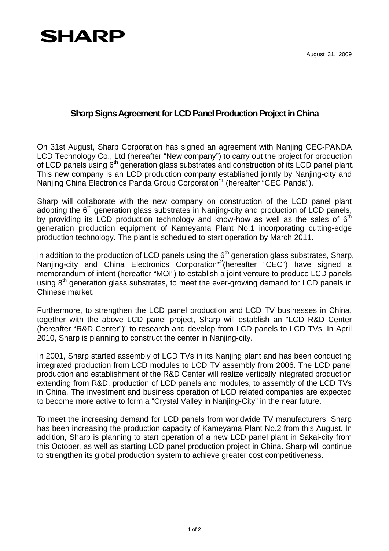

## **Sharp Signs Agreement for LCD Panel Production Project in China**

On 31st August, Sharp Corporation has signed an agreement with Nanjing CEC-PANDA LCD Technology Co., Ltd (hereafter "New company") to carry out the project for production of LCD panels using 6<sup>th</sup> generation glass substrates and construction of its LCD panel plant. This new company is an LCD production company established jointly by Nanjing-city and Nanjing China Electronics Panda Group Corporation<sup>\*1</sup> (hereafter "CEC Panda").

Sharp will collaborate with the new company on construction of the LCD panel plant adopting the  $6<sup>th</sup>$  generation glass substrates in Nanjing-city and production of LCD panels, by providing its LCD production technology and know-how as well as the sales of  $6<sup>th</sup>$ generation production equipment of Kameyama Plant No.1 incorporating cutting-edge production technology. The plant is scheduled to start operation by March 2011.

In addition to the production of LCD panels using the  $6<sup>th</sup>$  generation glass substrates, Sharp, Nanjing-city and China Electronics Corporation<sup>\*2</sup>(hereafter "CEC") have signed a memorandum of intent (hereafter "MOI") to establish a joint venture to produce LCD panels using 8<sup>th</sup> generation glass substrates, to meet the ever-growing demand for LCD panels in Chinese market.

Furthermore, to strengthen the LCD panel production and LCD TV businesses in China, together with the above LCD panel project, Sharp will establish an "LCD R&D Center (hereafter "R&D Center")" to research and develop from LCD panels to LCD TVs. In April 2010, Sharp is planning to construct the center in Nanjing-city.

In 2001, Sharp started assembly of LCD TVs in its Nanjing plant and has been conducting integrated production from LCD modules to LCD TV assembly from 2006. The LCD panel production and establishment of the R&D Center will realize vertically integrated production extending from R&D, production of LCD panels and modules, to assembly of the LCD TVs in China. The investment and business operation of LCD related companies are expected to become more active to form a "Crystal Valley in Nanjing-City" in the near future.

To meet the increasing demand for LCD panels from worldwide TV manufacturers, Sharp has been increasing the production capacity of Kameyama Plant No.2 from this August. In addition, Sharp is planning to start operation of a new LCD panel plant in Sakai-city from this October, as well as starting LCD panel production project in China. Sharp will continue to strengthen its global production system to achieve greater cost competitiveness.